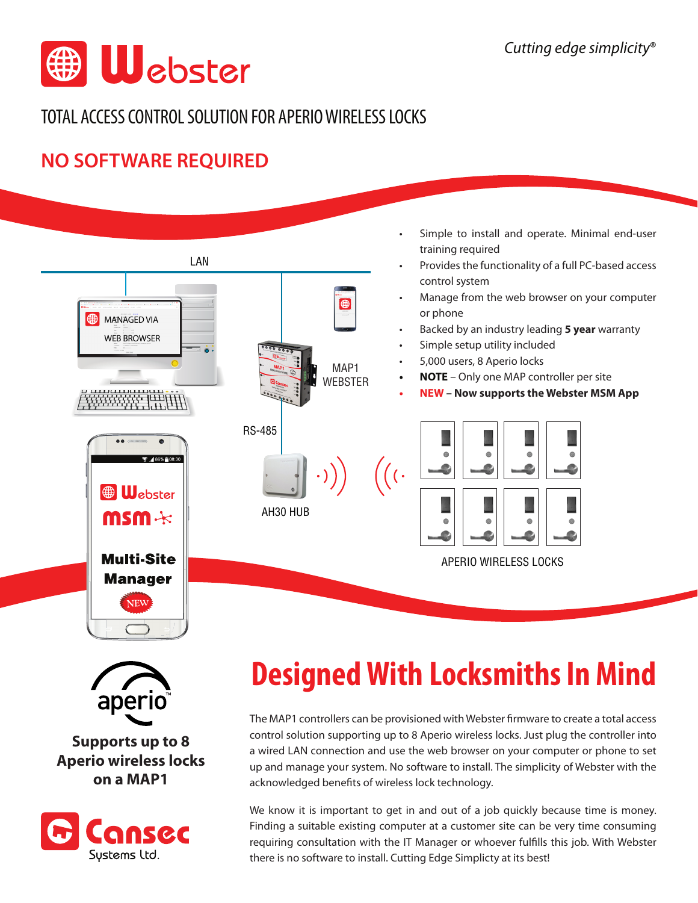

## TOTAL ACCESS CONTROL SOLUTION FOR APERIO WIRELESS LOCKS

## **NO SOFTWARE REQUIRED**





**Supports up to 8 Aperio wireless locks on a MAP1**



# **Designed With Locksmiths In Mind**

The MAP1 controllers can be provisioned with Webster firmware to create a total access control solution supporting up to 8 Aperio wireless locks. Just plug the controller into a wired LAN connection and use the web browser on your computer or phone to set up and manage your system. No software to install. The simplicity of Webster with the acknowledged benefits of wireless lock technology.

We know it is important to get in and out of a job quickly because time is money. Finding a suitable existing computer at a customer site can be very time consuming requiring consultation with the IT Manager or whoever fulfills this job. With Webster there is no software to install. Cutting Edge Simplicty at its best!